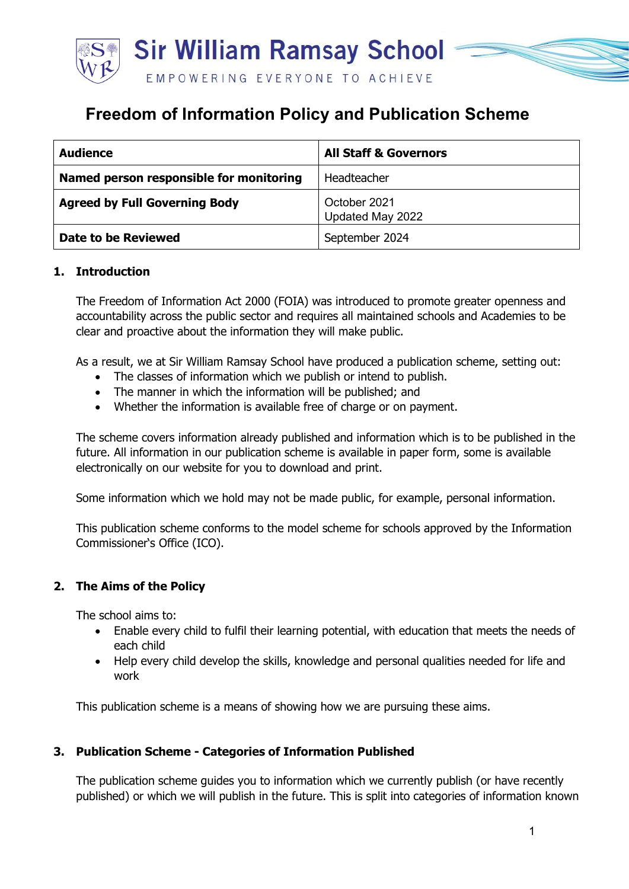

# **Freedom of Information Policy and Publication Scheme**

| <b>Audience</b>                         | <b>All Staff &amp; Governors</b> |
|-----------------------------------------|----------------------------------|
| Named person responsible for monitoring | Headteacher                      |
| <b>Agreed by Full Governing Body</b>    | October 2021<br>Updated May 2022 |
| <b>Date to be Reviewed</b>              | September 2024                   |

# **1. Introduction**

The Freedom of Information Act 2000 (FOIA) was introduced to promote greater openness and accountability across the public sector and requires all maintained schools and Academies to be clear and proactive about the information they will make public.

As a result, we at Sir William Ramsay School have produced a publication scheme, setting out:

- The classes of information which we publish or intend to publish.
- The manner in which the information will be published; and
- Whether the information is available free of charge or on payment.

The scheme covers information already published and information which is to be published in the future. All information in our publication scheme is available in paper form, some is available electronically on our website for you to download and print.

Some information which we hold may not be made public, for example, personal information.

This publication scheme conforms to the model scheme for schools approved by the Information Commissioner's Office (ICO).

#### **2. The Aims of the Policy**

The school aims to:

- Enable every child to fulfil their learning potential, with education that meets the needs of each child
- Help every child develop the skills, knowledge and personal qualities needed for life and work

This publication scheme is a means of showing how we are pursuing these aims.

#### **3. Publication Scheme - Categories of Information Published**

The publication scheme guides you to information which we currently publish (or have recently published) or which we will publish in the future. This is split into categories of information known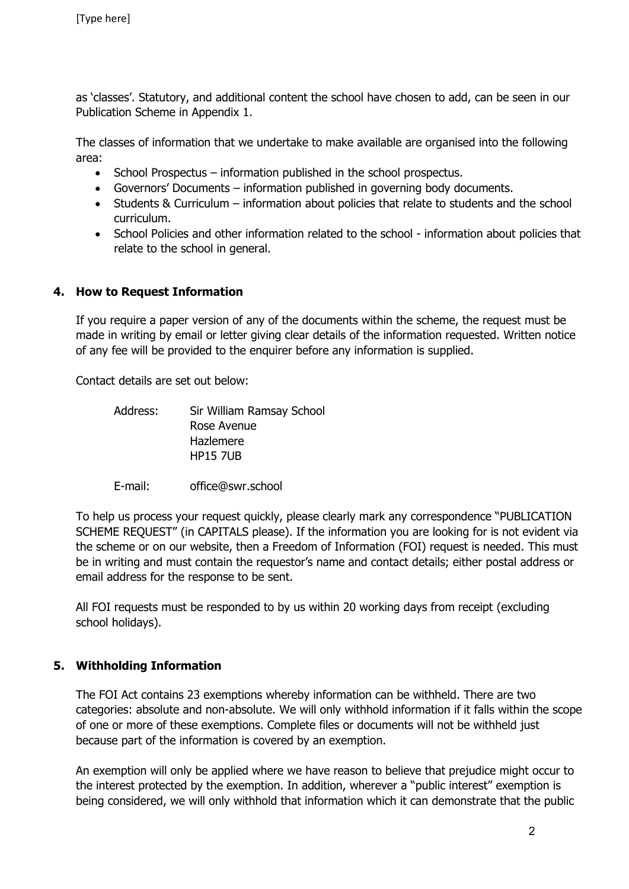as 'classes'. Statutory, and additional content the school have chosen to add, can be seen in our Publication Scheme in Appendix 1.

The classes of information that we undertake to make available are organised into the following area:

- School Prospectus information published in the school prospectus.
- Governors' Documents information published in governing body documents.
- Students & Curriculum information about policies that relate to students and the school curriculum.
- School Policies and other information related to the school information about policies that relate to the school in general.

#### **4. How to Request Information**

If you require a paper version of any of the documents within the scheme, the request must be made in writing by email or letter giving clear details of the information requested. Written notice of any fee will be provided to the enquirer before any information is supplied.

Contact details are set out below:

- Address: Sir William Ramsay School Rose Avenue Hazlemere HP15 7UB
- E-mail: office@swr.school

To help us process your request quickly, please clearly mark any correspondence "PUBLICATION SCHEME REQUEST" (in CAPITALS please). If the information you are looking for is not evident via the scheme or on our website, then a Freedom of Information (FOI) request is needed. This must be in writing and must contain the requestor's name and contact details; either postal address or email address for the response to be sent.

All FOI requests must be responded to by us within 20 working days from receipt (excluding school holidays).

# **5. Withholding Information**

The FOI Act contains 23 exemptions whereby information can be withheld. There are two categories: absolute and non-absolute. We will only withhold information if it falls within the scope of one or more of these exemptions. Complete files or documents will not be withheld just because part of the information is covered by an exemption.

An exemption will only be applied where we have reason to believe that prejudice might occur to the interest protected by the exemption. In addition, wherever a "public interest" exemption is being considered, we will only withhold that information which it can demonstrate that the public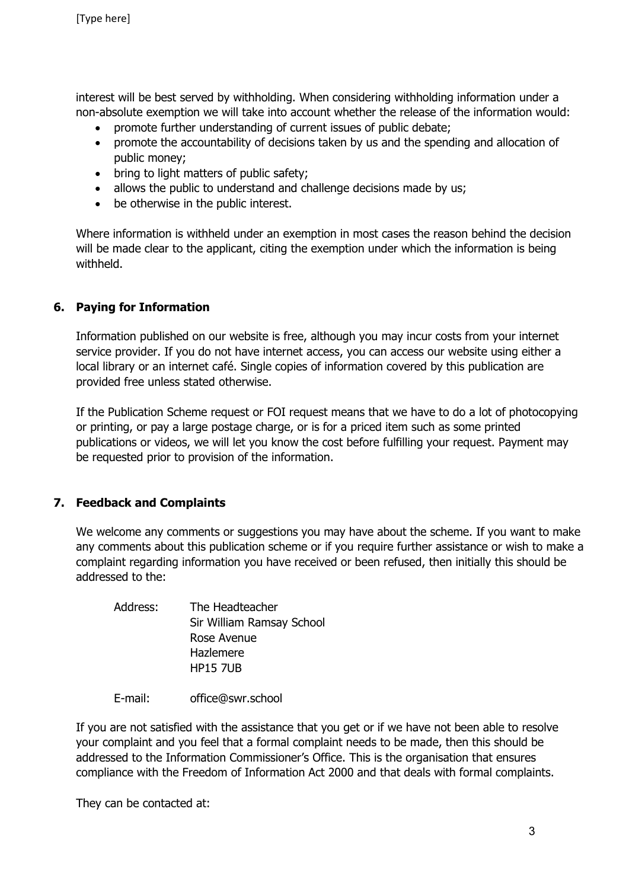interest will be best served by withholding. When considering withholding information under a non-absolute exemption we will take into account whether the release of the information would:

- promote further understanding of current issues of public debate;
- promote the accountability of decisions taken by us and the spending and allocation of public money;
- bring to light matters of public safety;
- allows the public to understand and challenge decisions made by us;
- be otherwise in the public interest.

Where information is withheld under an exemption in most cases the reason behind the decision will be made clear to the applicant, citing the exemption under which the information is being withheld.

# **6. Paying for Information**

Information published on our website is free, although you may incur costs from your internet service provider. If you do not have internet access, you can access our website using either a local library or an internet café. Single copies of information covered by this publication are provided free unless stated otherwise.

If the Publication Scheme request or FOI request means that we have to do a lot of photocopying or printing, or pay a large postage charge, or is for a priced item such as some printed publications or videos, we will let you know the cost before fulfilling your request. Payment may be requested prior to provision of the information.

# **7. Feedback and Complaints**

We welcome any comments or suggestions you may have about the scheme. If you want to make any comments about this publication scheme or if you require further assistance or wish to make a complaint regarding information you have received or been refused, then initially this should be addressed to the:

| Address: | The Headteacher           |
|----------|---------------------------|
|          | Sir William Ramsay School |
|          | Rose Avenue               |
|          | Hazlemere                 |
|          | <b>HP15 7UB</b>           |
|          |                           |

E-mail: office@swr.school

If you are not satisfied with the assistance that you get or if we have not been able to resolve your complaint and you feel that a formal complaint needs to be made, then this should be addressed to the Information Commissioner's Office. This is the organisation that ensures compliance with the Freedom of Information Act 2000 and that deals with formal complaints.

They can be contacted at: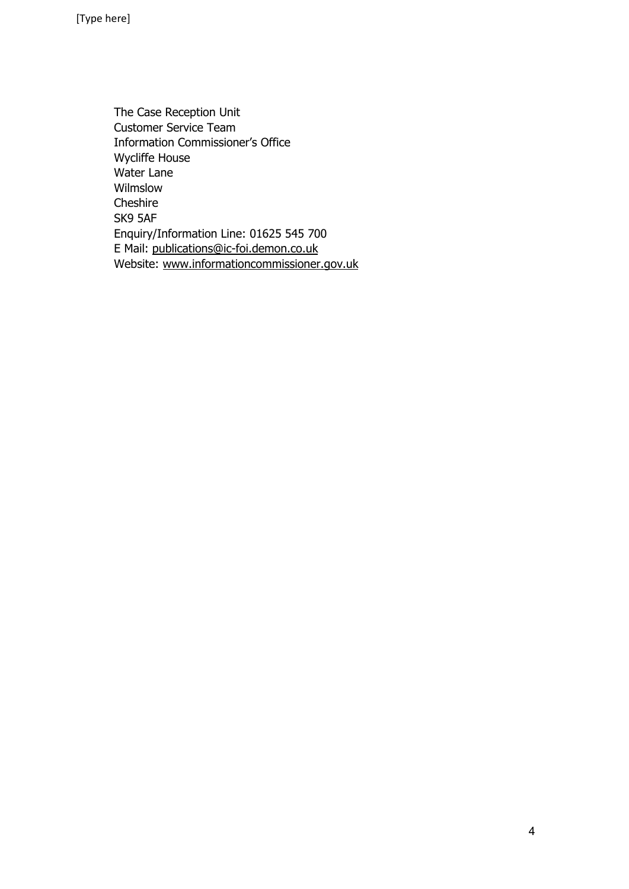The Case Reception Unit Customer Service Team Information Commissioner's Office Wycliffe House Water Lane Wilmslow Cheshire SK9 5AF Enquiry/Information Line: 01625 545 700 E Mail: [publications@ic-foi.demon.co.uk](mailto:publications@ic-foi.demon.co.uk)  Website: [www.informationcommissioner.gov.uk](http://www.informationcommissioner.gov.uk/)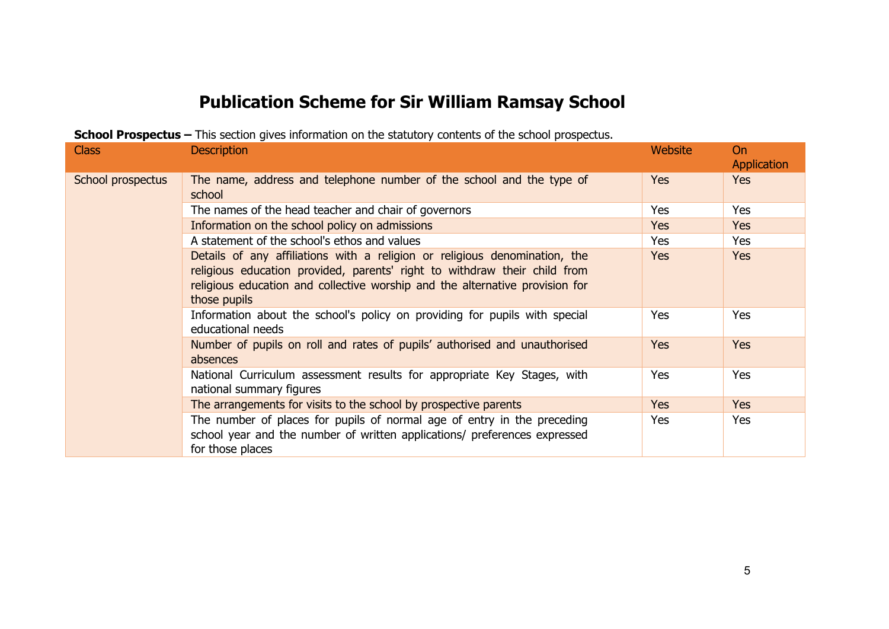# **Publication Scheme for Sir William Ramsay School**

| <b>SCROOF Prospectus –</b> This Secuon gives information on the statutory contents of the scribol prospectus. |                                                                                                                                                                                                                                                         |            |                          |
|---------------------------------------------------------------------------------------------------------------|---------------------------------------------------------------------------------------------------------------------------------------------------------------------------------------------------------------------------------------------------------|------------|--------------------------|
| <b>Class</b>                                                                                                  | <b>Description</b>                                                                                                                                                                                                                                      | Website    | <b>On</b><br>Application |
| School prospectus                                                                                             | The name, address and telephone number of the school and the type of<br>school                                                                                                                                                                          | <b>Yes</b> | Yes                      |
|                                                                                                               | The names of the head teacher and chair of governors                                                                                                                                                                                                    | <b>Yes</b> | <b>Yes</b>               |
|                                                                                                               | Information on the school policy on admissions                                                                                                                                                                                                          | <b>Yes</b> | <b>Yes</b>               |
|                                                                                                               | A statement of the school's ethos and values                                                                                                                                                                                                            | Yes        | Yes                      |
|                                                                                                               | Details of any affiliations with a religion or religious denomination, the<br>religious education provided, parents' right to withdraw their child from<br>religious education and collective worship and the alternative provision for<br>those pupils | <b>Yes</b> | <b>Yes</b>               |
|                                                                                                               | Information about the school's policy on providing for pupils with special<br>educational needs                                                                                                                                                         | Yes        | Yes                      |
|                                                                                                               | Number of pupils on roll and rates of pupils' authorised and unauthorised<br>absences                                                                                                                                                                   | <b>Yes</b> | <b>Yes</b>               |
|                                                                                                               | National Curriculum assessment results for appropriate Key Stages, with<br>national summary figures                                                                                                                                                     | Yes        | Yes                      |
|                                                                                                               | The arrangements for visits to the school by prospective parents                                                                                                                                                                                        | <b>Yes</b> | <b>Yes</b>               |
|                                                                                                               | The number of places for pupils of normal age of entry in the preceding<br>school year and the number of written applications/ preferences expressed<br>for those places                                                                                | Yes        | Yes                      |

**School Prospectus –** This section gives information on the statutory contents of the school prospectus.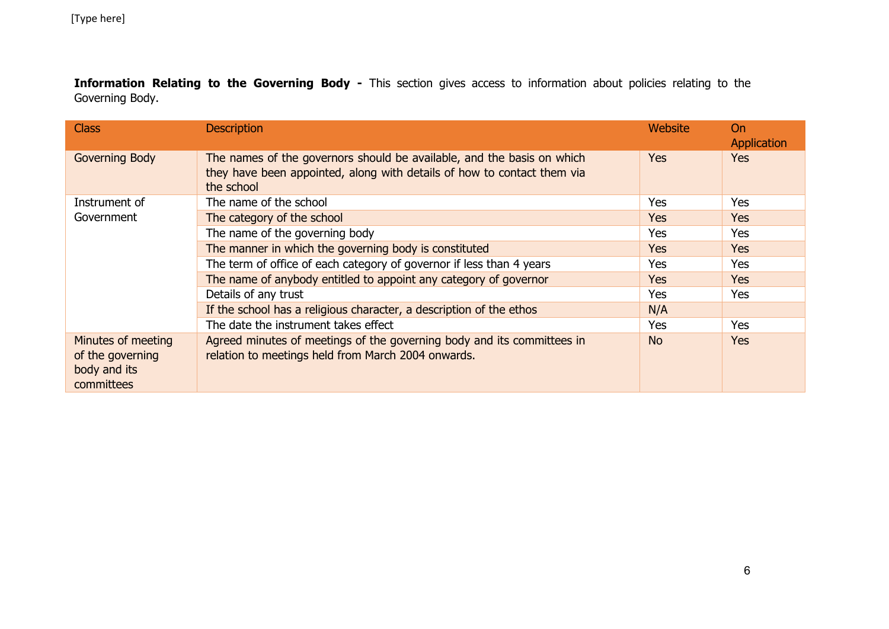**Information Relating to the Governing Body -** This section gives access to information about policies relating to the Governing Body.

| <b>Class</b>                                                         | <b>Description</b>                                                                                                                                              | Website    | <b>On</b><br>Application |
|----------------------------------------------------------------------|-----------------------------------------------------------------------------------------------------------------------------------------------------------------|------------|--------------------------|
| <b>Governing Body</b>                                                | The names of the governors should be available, and the basis on which<br>they have been appointed, along with details of how to contact them via<br>the school | <b>Yes</b> | <b>Yes</b>               |
| Instrument of                                                        | The name of the school                                                                                                                                          | Yes        | Yes                      |
| Government                                                           | The category of the school                                                                                                                                      | <b>Yes</b> | <b>Yes</b>               |
|                                                                      | The name of the governing body                                                                                                                                  | <b>Yes</b> | Yes                      |
|                                                                      | The manner in which the governing body is constituted                                                                                                           | <b>Yes</b> | Yes                      |
|                                                                      | The term of office of each category of governor if less than 4 years                                                                                            | Yes        | Yes                      |
|                                                                      | The name of anybody entitled to appoint any category of governor                                                                                                | <b>Yes</b> | Yes                      |
|                                                                      | Details of any trust                                                                                                                                            | <b>Yes</b> | Yes                      |
|                                                                      | If the school has a religious character, a description of the ethos                                                                                             | N/A        |                          |
|                                                                      | The date the instrument takes effect                                                                                                                            | <b>Yes</b> | Yes                      |
| Minutes of meeting<br>of the governing<br>body and its<br>committees | Agreed minutes of meetings of the governing body and its committees in<br>relation to meetings held from March 2004 onwards.                                    | <b>No</b>  | Yes                      |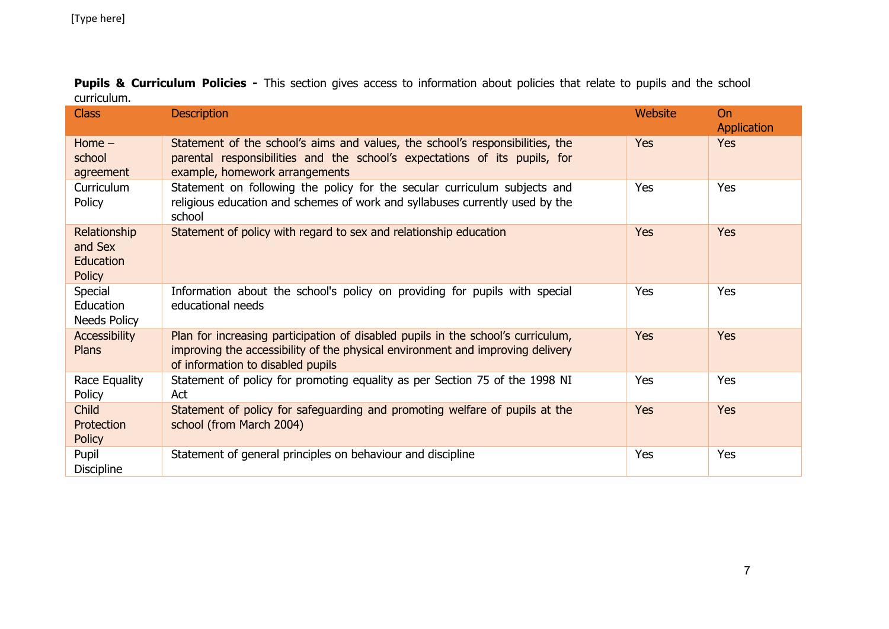| <b>Class</b>                                          | <b>Description</b>                                                                                                                                                                                      | Website | On<br>Application |
|-------------------------------------------------------|---------------------------------------------------------------------------------------------------------------------------------------------------------------------------------------------------------|---------|-------------------|
| Home $-$<br>school<br>agreement                       | Statement of the school's aims and values, the school's responsibilities, the<br>parental responsibilities and the school's expectations of its pupils, for<br>example, homework arrangements           | Yes     | <b>Yes</b>        |
| Curriculum<br>Policy                                  | Statement on following the policy for the secular curriculum subjects and<br>religious education and schemes of work and syllabuses currently used by the<br>school                                     | Yes     | Yes               |
| Relationship<br>and Sex<br>Education<br><b>Policy</b> | Statement of policy with regard to sex and relationship education                                                                                                                                       | Yes     | Yes               |
| Special<br>Education<br>Needs Policy                  | Information about the school's policy on providing for pupils with special<br>educational needs                                                                                                         | Yes     | Yes               |
| Accessibility<br><b>Plans</b>                         | Plan for increasing participation of disabled pupils in the school's curriculum,<br>improving the accessibility of the physical environment and improving delivery<br>of information to disabled pupils | Yes     | Yes               |
| Race Equality<br>Policy                               | Statement of policy for promoting equality as per Section 75 of the 1998 NI<br>Act                                                                                                                      | Yes     | Yes               |
| Child<br>Protection<br><b>Policy</b>                  | Statement of policy for safeguarding and promoting welfare of pupils at the<br>school (from March 2004)                                                                                                 | Yes     | <b>Yes</b>        |
| Pupil<br><b>Discipline</b>                            | Statement of general principles on behaviour and discipline                                                                                                                                             | Yes     | Yes               |

Pupils & Curriculum Policies - This section gives access to information about policies that relate to pupils and the school curriculum.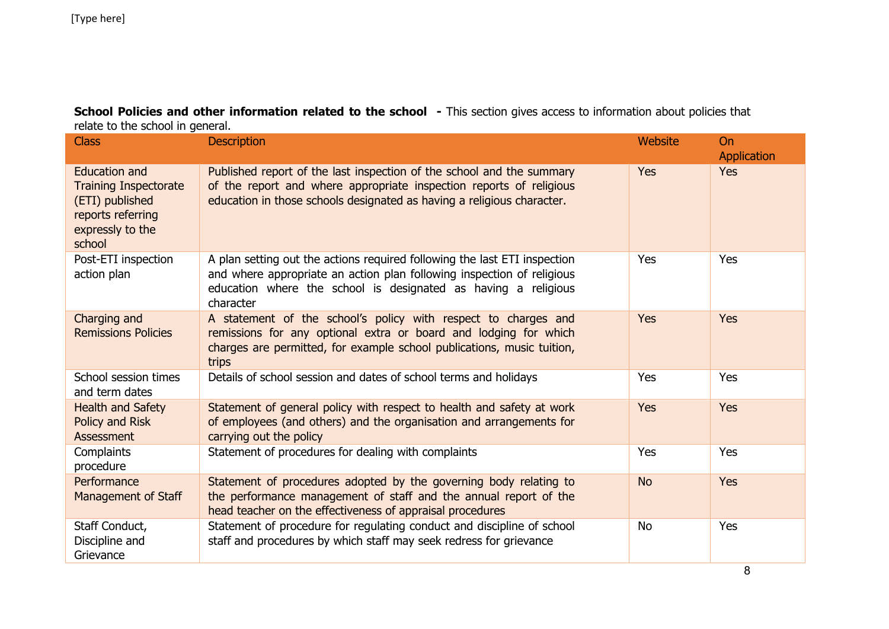**School Policies and other information related to the school - This section gives access to information about policies that** relate to the school in general.

| <b>Class</b>                                                                                                               | <b>Description</b>                                                                                                                                                                                                                 | Website   | <b>On</b><br>Application |
|----------------------------------------------------------------------------------------------------------------------------|------------------------------------------------------------------------------------------------------------------------------------------------------------------------------------------------------------------------------------|-----------|--------------------------|
| <b>Education and</b><br><b>Training Inspectorate</b><br>(ETI) published<br>reports referring<br>expressly to the<br>school | Published report of the last inspection of the school and the summary<br>of the report and where appropriate inspection reports of religious<br>education in those schools designated as having a religious character.             | Yes       | <b>Yes</b>               |
| Post-ETI inspection<br>action plan                                                                                         | A plan setting out the actions required following the last ETI inspection<br>and where appropriate an action plan following inspection of religious<br>education where the school is designated as having a religious<br>character | Yes       | Yes                      |
| Charging and<br><b>Remissions Policies</b>                                                                                 | A statement of the school's policy with respect to charges and<br>remissions for any optional extra or board and lodging for which<br>charges are permitted, for example school publications, music tuition,<br>trips              | Yes       | <b>Yes</b>               |
| School session times<br>and term dates                                                                                     | Details of school session and dates of school terms and holidays                                                                                                                                                                   | Yes       | Yes                      |
| <b>Health and Safety</b><br>Policy and Risk<br>Assessment                                                                  | Statement of general policy with respect to health and safety at work<br>of employees (and others) and the organisation and arrangements for<br>carrying out the policy                                                            | Yes       | <b>Yes</b>               |
| Complaints<br>procedure                                                                                                    | Statement of procedures for dealing with complaints                                                                                                                                                                                | Yes       | Yes                      |
| Performance<br>Management of Staff                                                                                         | Statement of procedures adopted by the governing body relating to<br>the performance management of staff and the annual report of the<br>head teacher on the effectiveness of appraisal procedures                                 | <b>No</b> | <b>Yes</b>               |
| Staff Conduct,<br>Discipline and<br>Grievance                                                                              | Statement of procedure for regulating conduct and discipline of school<br>staff and procedures by which staff may seek redress for grievance                                                                                       | <b>No</b> | Yes                      |